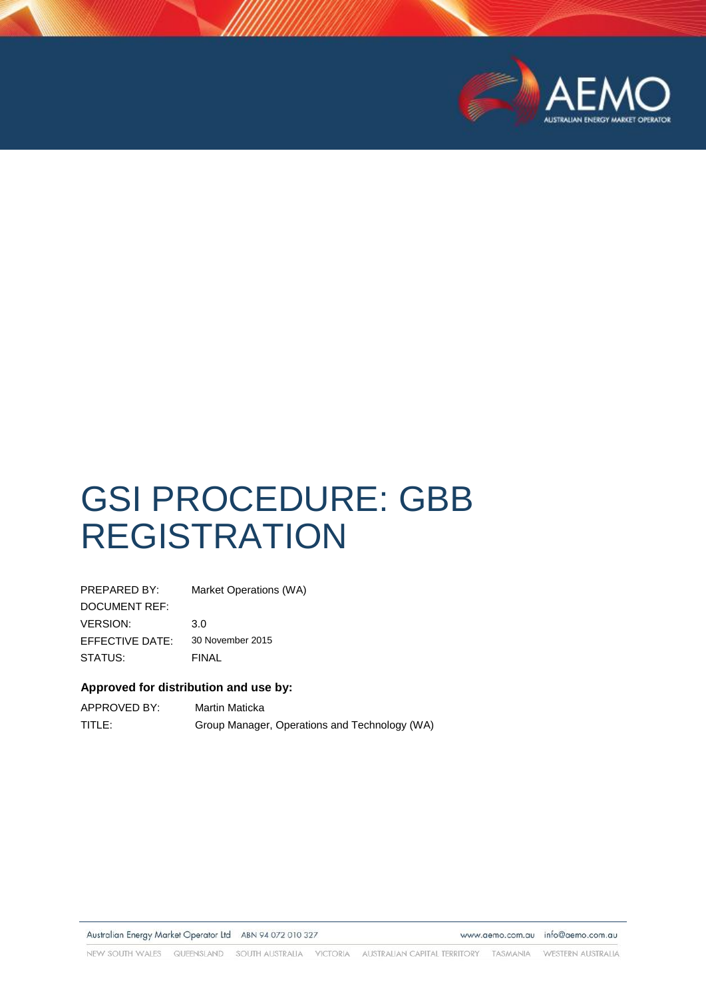

# GSI PROCEDURE: GBB REGISTRATION

| PREPARED BY:    | Market Operations (WA) |
|-----------------|------------------------|
| DOCUMENT REF:   |                        |
| <b>VERSION:</b> | 3.0                    |
| EFFECTIVE DATE: | 30 November 2015       |
| STATUS:         | FINAL                  |

#### **Approved for distribution and use by:**

| APPROVED BY: | Martin Maticka                                |
|--------------|-----------------------------------------------|
| TITLE:       | Group Manager, Operations and Technology (WA) |

Australian Energy Market Operator Ltd ABN 94 072 010 327

www.aemo.com.au info@aemo.com.au

NEW SOUTH WALES QUEENSLAND SOUTH AUSTRALIA VICTORIA AUSTRALIAN CAPITAL TERRITORY TASMANIA WESTERN AUSTRALIA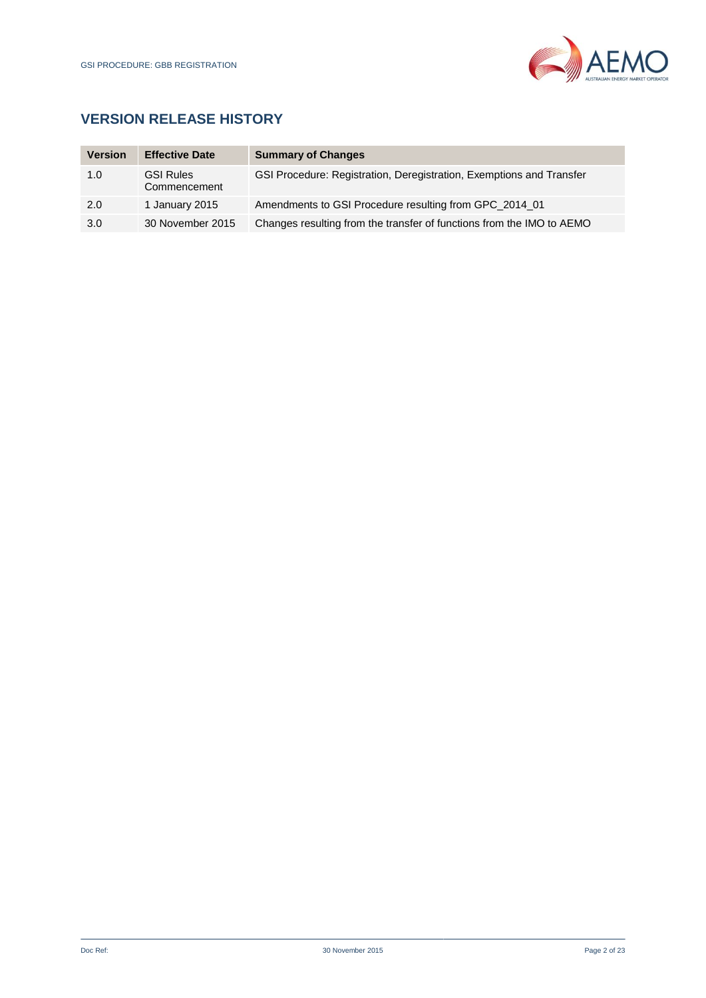

# **VERSION RELEASE HISTORY**

| <b>Version</b> | <b>Effective Date</b>            | <b>Summary of Changes</b>                                             |
|----------------|----------------------------------|-----------------------------------------------------------------------|
| 1.0            | <b>GSI Rules</b><br>Commencement | GSI Procedure: Registration, Deregistration, Exemptions and Transfer  |
| 2.0            | 1 January 2015                   | Amendments to GSI Procedure resulting from GPC 2014 01                |
| 3.0            | 30 November 2015                 | Changes resulting from the transfer of functions from the IMO to AEMO |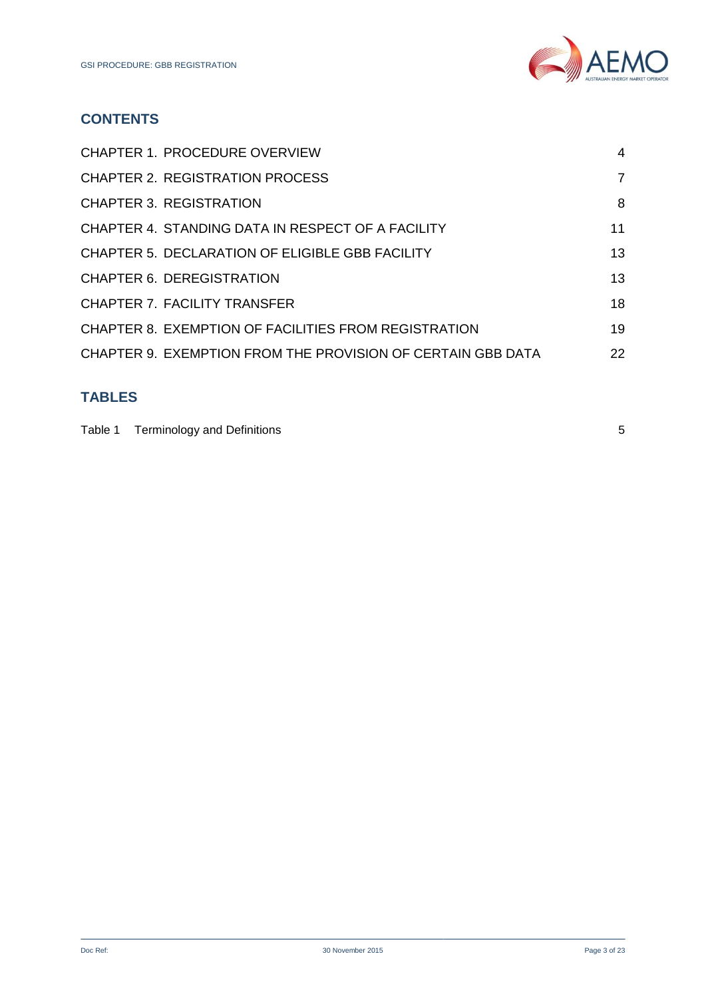

# **CONTENTS**

| <b>CHAPTER 1. PROCEDURE OVERVIEW</b>                        | 4  |
|-------------------------------------------------------------|----|
| <b>CHAPTER 2. REGISTRATION PROCESS</b>                      | 7  |
| <b>CHAPTER 3. REGISTRATION</b>                              | 8  |
| CHAPTER 4. STANDING DATA IN RESPECT OF A FACILITY           | 11 |
| CHAPTER 5. DECLARATION OF ELIGIBLE GBB FACILITY             | 13 |
| CHAPTER 6. DEREGISTRATION                                   | 13 |
| <b>CHAPTER 7. FACILITY TRANSFER</b>                         | 18 |
| CHAPTER 8. EXEMPTION OF FACILITIES FROM REGISTRATION        | 19 |
| CHAPTER 9. EXEMPTION FROM THE PROVISION OF CERTAIN GBB DATA | 22 |
|                                                             |    |

# **TABLES**

| Table 1 Terminology and Definitions |  |
|-------------------------------------|--|
|                                     |  |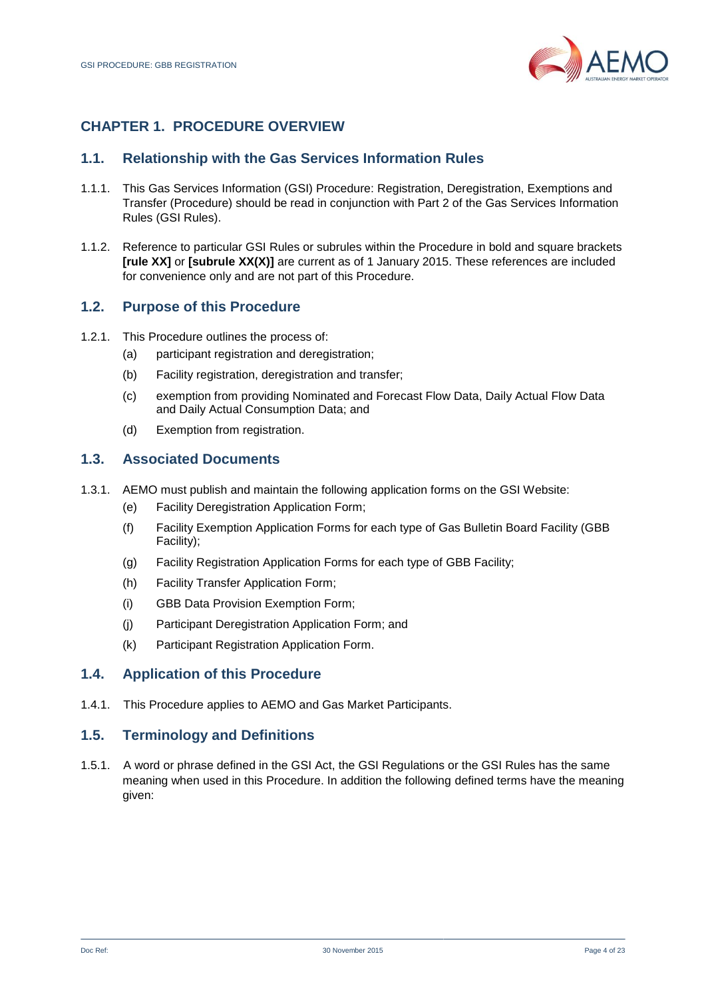

## <span id="page-3-0"></span>**CHAPTER 1. PROCEDURE OVERVIEW**

## **1.1. Relationship with the Gas Services Information Rules**

- 1.1.1. This Gas Services Information (GSI) Procedure: Registration, Deregistration, Exemptions and Transfer (Procedure) should be read in conjunction with Part 2 of the Gas Services Information Rules (GSI Rules).
- 1.1.2. Reference to particular GSI Rules or subrules within the Procedure in bold and square brackets **[rule XX]** or **[subrule XX(X)]** are current as of 1 January 2015. These references are included for convenience only and are not part of this Procedure.

## **1.2. Purpose of this Procedure**

- 1.2.1. This Procedure outlines the process of:
	- (a) participant registration and deregistration;
	- (b) Facility registration, deregistration and transfer;
	- (c) exemption from providing Nominated and Forecast Flow Data, Daily Actual Flow Data and Daily Actual Consumption Data; and
	- (d) Exemption from registration.

#### **1.3. Associated Documents**

- 1.3.1. AEMO must publish and maintain the following application forms on the GSI Website:
	- (e) Facility Deregistration Application Form;
	- (f) Facility Exemption Application Forms for each type of Gas Bulletin Board Facility (GBB Facility);
	- (g) Facility Registration Application Forms for each type of GBB Facility;
	- (h) Facility Transfer Application Form;
	- (i) GBB Data Provision Exemption Form;
	- (j) Participant Deregistration Application Form; and
	- (k) Participant Registration Application Form.

#### **1.4. Application of this Procedure**

1.4.1. This Procedure applies to AEMO and Gas Market Participants.

#### **1.5. Terminology and Definitions**

1.5.1. A word or phrase defined in the GSI Act, the GSI Regulations or the GSI Rules has the same meaning when used in this Procedure. In addition the following defined terms have the meaning given: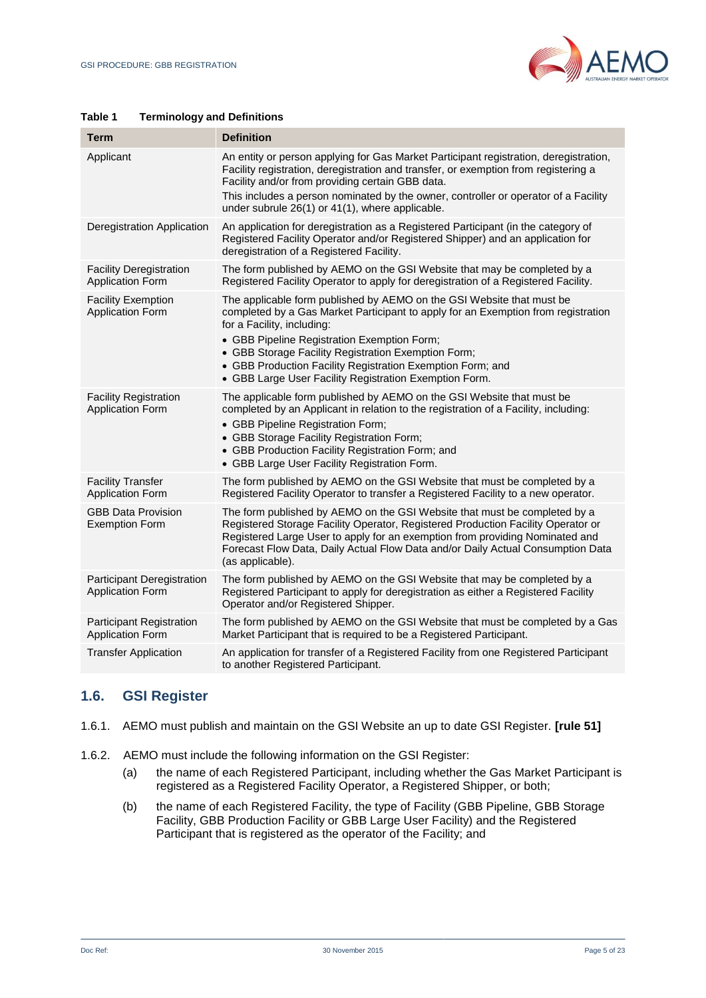

#### <span id="page-4-0"></span>**Table 1 Terminology and Definitions**

| Term                                                       | <b>Definition</b>                                                                                                                                                                                                                                                                                                                                                                                                      |
|------------------------------------------------------------|------------------------------------------------------------------------------------------------------------------------------------------------------------------------------------------------------------------------------------------------------------------------------------------------------------------------------------------------------------------------------------------------------------------------|
| Applicant                                                  | An entity or person applying for Gas Market Participant registration, deregistration,<br>Facility registration, deregistration and transfer, or exemption from registering a<br>Facility and/or from providing certain GBB data.                                                                                                                                                                                       |
|                                                            | This includes a person nominated by the owner, controller or operator of a Facility<br>under subrule 26(1) or 41(1), where applicable.                                                                                                                                                                                                                                                                                 |
| <b>Deregistration Application</b>                          | An application for deregistration as a Registered Participant (in the category of<br>Registered Facility Operator and/or Registered Shipper) and an application for<br>deregistration of a Registered Facility.                                                                                                                                                                                                        |
| <b>Facility Deregistration</b><br><b>Application Form</b>  | The form published by AEMO on the GSI Website that may be completed by a<br>Registered Facility Operator to apply for deregistration of a Registered Facility.                                                                                                                                                                                                                                                         |
| <b>Facility Exemption</b><br><b>Application Form</b>       | The applicable form published by AEMO on the GSI Website that must be<br>completed by a Gas Market Participant to apply for an Exemption from registration<br>for a Facility, including:<br>• GBB Pipeline Registration Exemption Form;<br>• GBB Storage Facility Registration Exemption Form;<br>• GBB Production Facility Registration Exemption Form; and<br>• GBB Large User Facility Registration Exemption Form. |
| <b>Facility Registration</b><br><b>Application Form</b>    | The applicable form published by AEMO on the GSI Website that must be<br>completed by an Applicant in relation to the registration of a Facility, including:<br>• GBB Pipeline Registration Form;<br>• GBB Storage Facility Registration Form;<br>• GBB Production Facility Registration Form; and<br>• GBB Large User Facility Registration Form.                                                                     |
| <b>Facility Transfer</b><br><b>Application Form</b>        | The form published by AEMO on the GSI Website that must be completed by a<br>Registered Facility Operator to transfer a Registered Facility to a new operator.                                                                                                                                                                                                                                                         |
| <b>GBB Data Provision</b><br><b>Exemption Form</b>         | The form published by AEMO on the GSI Website that must be completed by a<br>Registered Storage Facility Operator, Registered Production Facility Operator or<br>Registered Large User to apply for an exemption from providing Nominated and<br>Forecast Flow Data, Daily Actual Flow Data and/or Daily Actual Consumption Data<br>(as applicable).                                                                   |
| Participant Deregistration<br><b>Application Form</b>      | The form published by AEMO on the GSI Website that may be completed by a<br>Registered Participant to apply for deregistration as either a Registered Facility<br>Operator and/or Registered Shipper.                                                                                                                                                                                                                  |
| <b>Participant Registration</b><br><b>Application Form</b> | The form published by AEMO on the GSI Website that must be completed by a Gas<br>Market Participant that is required to be a Registered Participant.                                                                                                                                                                                                                                                                   |
| <b>Transfer Application</b>                                | An application for transfer of a Registered Facility from one Registered Participant<br>to another Registered Participant.                                                                                                                                                                                                                                                                                             |

#### **1.6. GSI Register**

- 1.6.1. AEMO must publish and maintain on the GSI Website an up to date GSI Register. **[rule 51]**
- 1.6.2. AEMO must include the following information on the GSI Register:
	- (a) the name of each Registered Participant, including whether the Gas Market Participant is registered as a Registered Facility Operator, a Registered Shipper, or both;
	- (b) the name of each Registered Facility, the type of Facility (GBB Pipeline, GBB Storage Facility, GBB Production Facility or GBB Large User Facility) and the Registered Participant that is registered as the operator of the Facility; and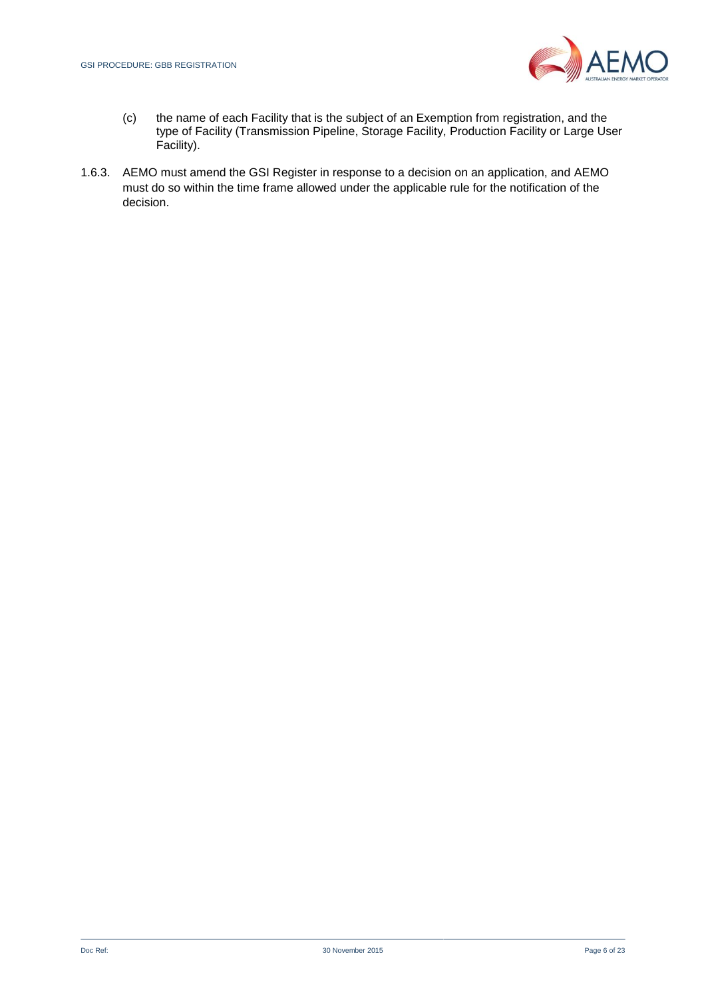

- (c) the name of each Facility that is the subject of an Exemption from registration, and the type of Facility (Transmission Pipeline, Storage Facility, Production Facility or Large User Facility).
- <span id="page-5-0"></span>1.6.3. AEMO must amend the GSI Register in response to a decision on an application, and AEMO must do so within the time frame allowed under the applicable rule for the notification of the decision.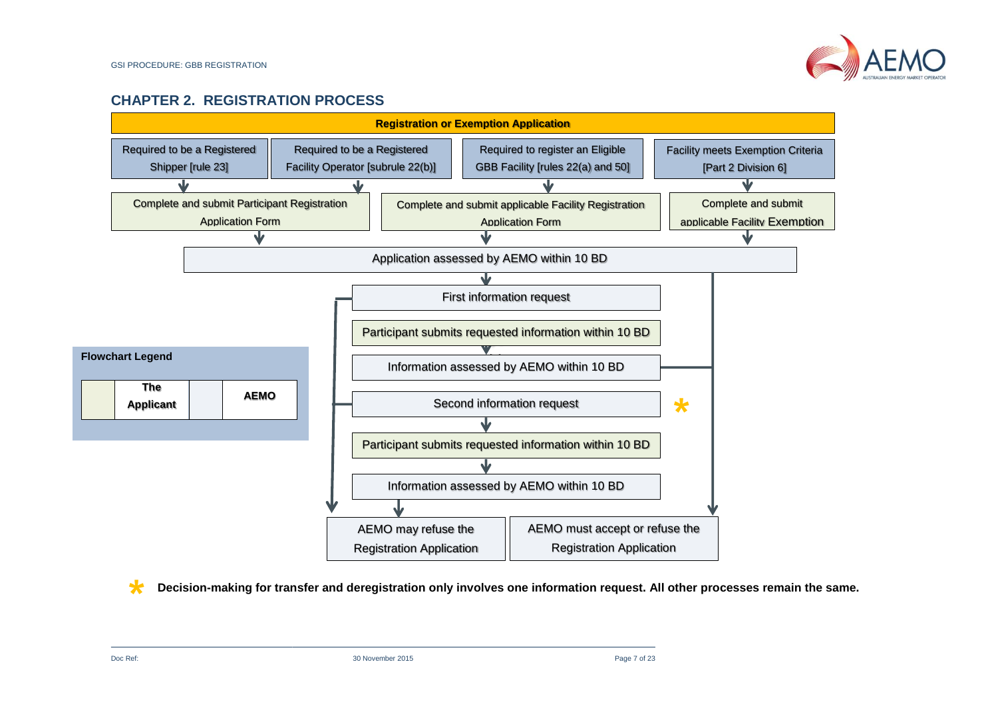

## **CHAPTER 2. REGISTRATION PROCESS**



**\* Decision-making for transfer and deregistration only involves one information request. All other processes remain the same.**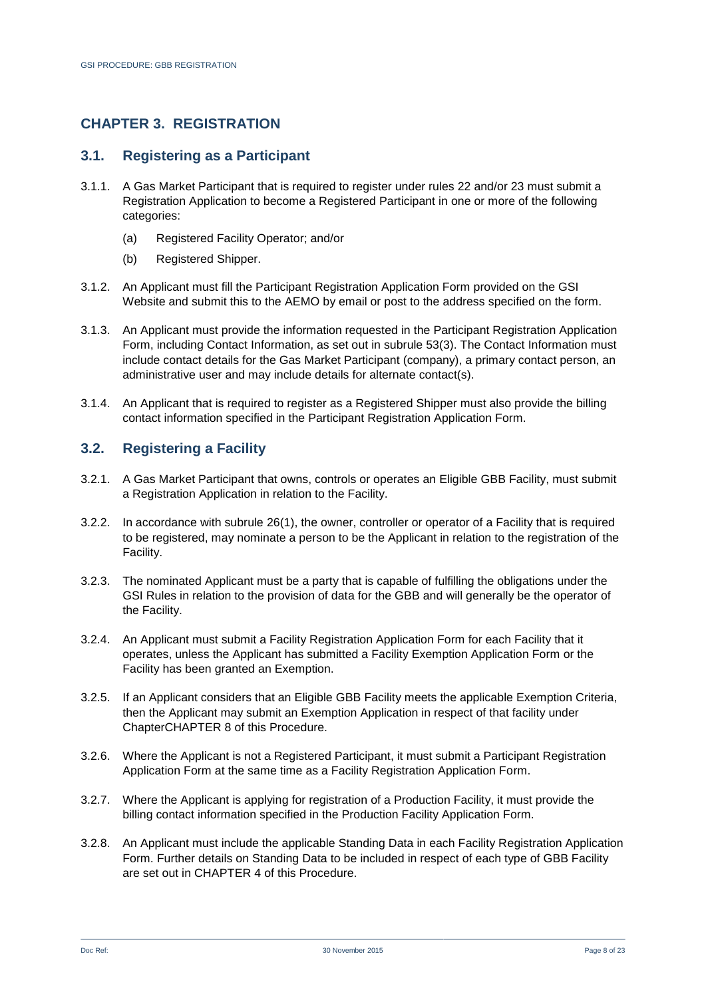## <span id="page-7-0"></span>**CHAPTER 3. REGISTRATION**

#### **3.1. Registering as a Participant**

- 3.1.1. A Gas Market Participant that is required to register under rules 22 and/or 23 must submit a Registration Application to become a Registered Participant in one or more of the following categories:
	- (a) Registered Facility Operator; and/or
	- (b) Registered Shipper.
- 3.1.2. An Applicant must fill the Participant Registration Application Form provided on the GSI Website and submit this to the AEMO by email or post to the address specified on the form.
- 3.1.3. An Applicant must provide the information requested in the Participant Registration Application Form, including Contact Information, as set out in subrule 53(3). The Contact Information must include contact details for the Gas Market Participant (company), a primary contact person, an administrative user and may include details for alternate contact(s).
- 3.1.4. An Applicant that is required to register as a Registered Shipper must also provide the billing contact information specified in the Participant Registration Application Form.

## **3.2. Registering a Facility**

- 3.2.1. A Gas Market Participant that owns, controls or operates an Eligible GBB Facility, must submit a Registration Application in relation to the Facility.
- 3.2.2. In accordance with subrule 26(1), the owner, controller or operator of a Facility that is required to be registered, may nominate a person to be the Applicant in relation to the registration of the Facility.
- 3.2.3. The nominated Applicant must be a party that is capable of fulfilling the obligations under the GSI Rules in relation to the provision of data for the GBB and will generally be the operator of the Facility.
- 3.2.4. An Applicant must submit a Facility Registration Application Form for each Facility that it operates, unless the Applicant has submitted a Facility Exemption Application Form or the Facility has been granted an Exemption.
- 3.2.5. If an Applicant considers that an Eligible GBB Facility meets the applicable Exemption Criteria, then the Applicant may submit an Exemption Application in respect of that facility under Chapte[rCHAPTER 8](#page-18-0) of this Procedure.
- 3.2.6. Where the Applicant is not a Registered Participant, it must submit a Participant Registration Application Form at the same time as a Facility Registration Application Form.
- 3.2.7. Where the Applicant is applying for registration of a Production Facility, it must provide the billing contact information specified in the Production Facility Application Form.
- 3.2.8. An Applicant must include the applicable Standing Data in each Facility Registration Application Form. Further details on Standing Data to be included in respect of each type of GBB Facility are set out in [CHAPTER 4](#page-10-0) of this Procedure.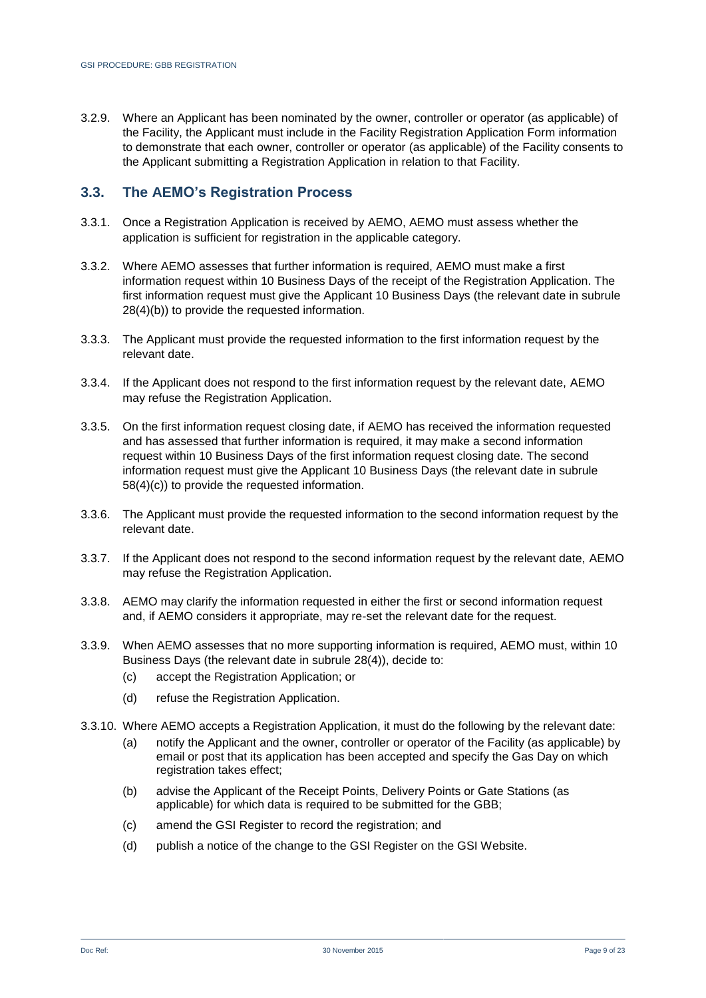3.2.9. Where an Applicant has been nominated by the owner, controller or operator (as applicable) of the Facility, the Applicant must include in the Facility Registration Application Form information to demonstrate that each owner, controller or operator (as applicable) of the Facility consents to the Applicant submitting a Registration Application in relation to that Facility.

#### **3.3. The AEMO's Registration Process**

- 3.3.1. Once a Registration Application is received by AEMO, AEMO must assess whether the application is sufficient for registration in the applicable category.
- 3.3.2. Where AEMO assesses that further information is required, AEMO must make a first information request within 10 Business Days of the receipt of the Registration Application. The first information request must give the Applicant 10 Business Days (the relevant date in subrule 28(4)(b)) to provide the requested information.
- 3.3.3. The Applicant must provide the requested information to the first information request by the relevant date.
- 3.3.4. If the Applicant does not respond to the first information request by the relevant date, AEMO may refuse the Registration Application.
- 3.3.5. On the first information request closing date, if AEMO has received the information requested and has assessed that further information is required, it may make a second information request within 10 Business Days of the first information request closing date. The second information request must give the Applicant 10 Business Days (the relevant date in subrule 58(4)(c)) to provide the requested information.
- 3.3.6. The Applicant must provide the requested information to the second information request by the relevant date.
- 3.3.7. If the Applicant does not respond to the second information request by the relevant date, AEMO may refuse the Registration Application.
- 3.3.8. AEMO may clarify the information requested in either the first or second information request and, if AEMO considers it appropriate, may re-set the relevant date for the request.
- 3.3.9. When AEMO assesses that no more supporting information is required, AEMO must, within 10 Business Days (the relevant date in subrule 28(4)), decide to:
	- (c) accept the Registration Application; or
	- (d) refuse the Registration Application.
- <span id="page-8-1"></span><span id="page-8-0"></span>3.3.10. Where AEMO accepts a Registration Application, it must do the following by the relevant date:
	- (a) notify the Applicant and the owner, controller or operator of the Facility (as applicable) by email or post that its application has been accepted and specify the Gas Day on which registration takes effect;
	- (b) advise the Applicant of the Receipt Points, Delivery Points or Gate Stations (as applicable) for which data is required to be submitted for the GBB;
	- (c) amend the GSI Register to record the registration; and
	- (d) publish a notice of the change to the GSI Register on the GSI Website.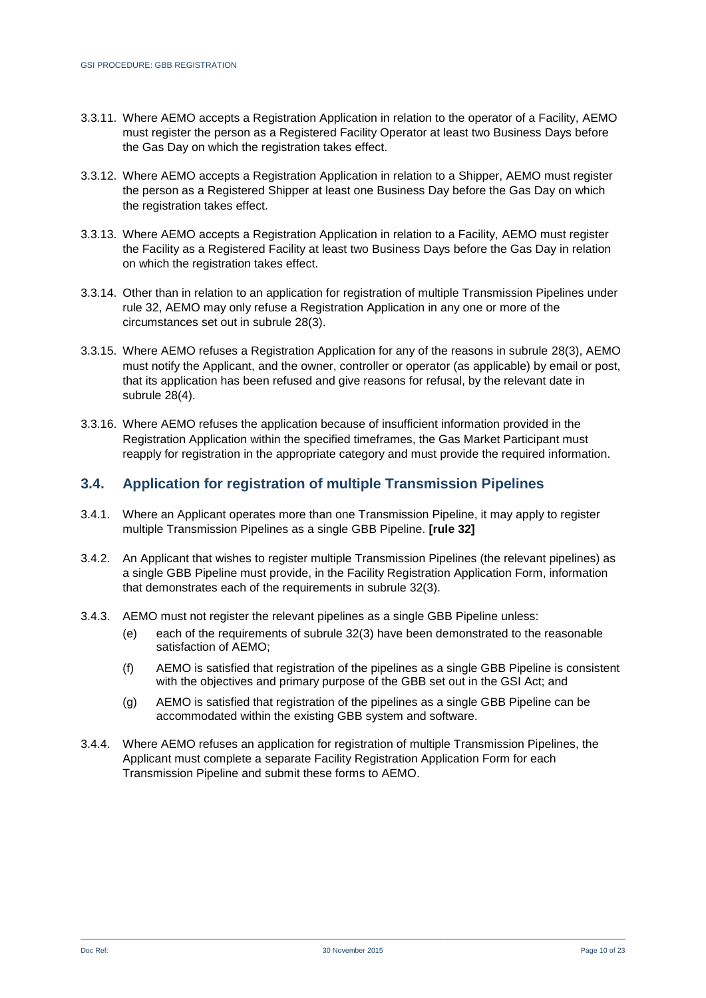- 3.3.11. Where AEMO accepts a Registration Application in relation to the operator of a Facility, AEMO must register the person as a Registered Facility Operator at least two Business Days before the Gas Day on which the registration takes effect.
- 3.3.12. Where AEMO accepts a Registration Application in relation to a Shipper, AEMO must register the person as a Registered Shipper at least one Business Day before the Gas Day on which the registration takes effect.
- 3.3.13. Where AEMO accepts a Registration Application in relation to a Facility, AEMO must register the Facility as a Registered Facility at least two Business Days before the Gas Day in relation on which the registration takes effect.
- 3.3.14. Other than in relation to an application for registration of multiple Transmission Pipelines under rule 32, AEMO may only refuse a Registration Application in any one or more of the circumstances set out in subrule 28(3).
- 3.3.15. Where AEMO refuses a Registration Application for any of the reasons in subrule 28(3), AEMO must notify the Applicant, and the owner, controller or operator (as applicable) by email or post, that its application has been refused and give reasons for refusal, by the relevant date in subrule 28(4).
- 3.3.16. Where AEMO refuses the application because of insufficient information provided in the Registration Application within the specified timeframes, the Gas Market Participant must reapply for registration in the appropriate category and must provide the required information.

#### **3.4. Application for registration of multiple Transmission Pipelines**

- 3.4.1. Where an Applicant operates more than one Transmission Pipeline, it may apply to register multiple Transmission Pipelines as a single GBB Pipeline. **[rule 32]**
- 3.4.2. An Applicant that wishes to register multiple Transmission Pipelines (the relevant pipelines) as a single GBB Pipeline must provide, in the Facility Registration Application Form, information that demonstrates each of the requirements in subrule 32(3).
- 3.4.3. AEMO must not register the relevant pipelines as a single GBB Pipeline unless:
	- (e) each of the requirements of subrule 32(3) have been demonstrated to the reasonable satisfaction of AEMO;
	- (f) AEMO is satisfied that registration of the pipelines as a single GBB Pipeline is consistent with the objectives and primary purpose of the GBB set out in the GSI Act; and
	- (g) AEMO is satisfied that registration of the pipelines as a single GBB Pipeline can be accommodated within the existing GBB system and software.
- 3.4.4. Where AEMO refuses an application for registration of multiple Transmission Pipelines, the Applicant must complete a separate Facility Registration Application Form for each Transmission Pipeline and submit these forms to AEMO.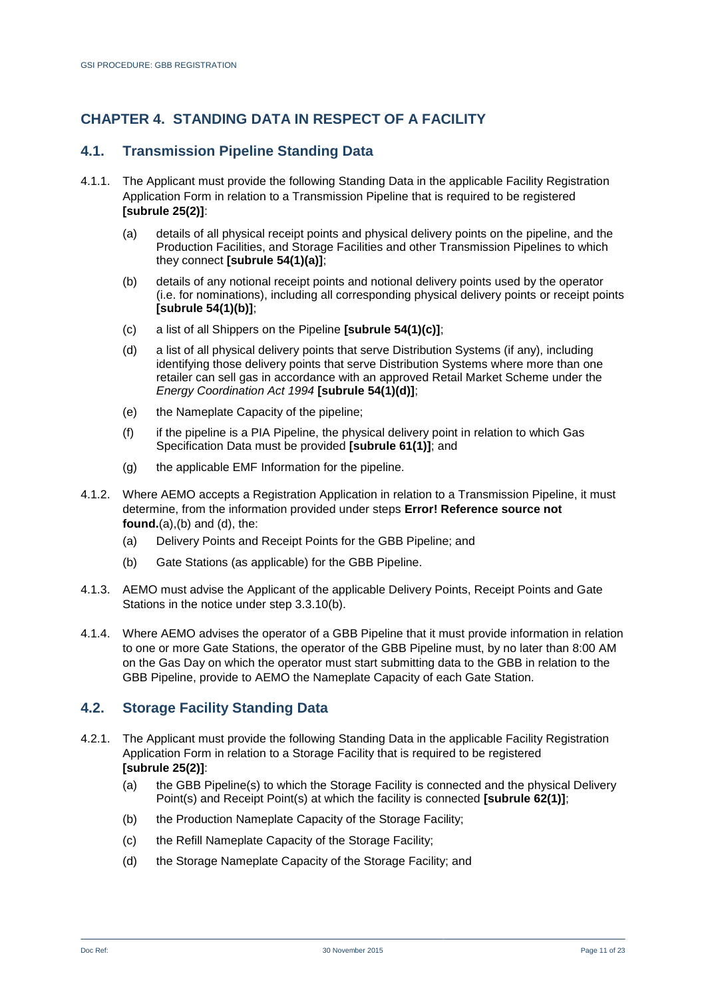## <span id="page-10-0"></span>**CHAPTER 4. STANDING DATA IN RESPECT OF A FACILITY**

## **4.1. Transmission Pipeline Standing Data**

- <span id="page-10-2"></span><span id="page-10-1"></span>4.1.1. The Applicant must provide the following Standing Data in the applicable Facility Registration Application Form in relation to a Transmission Pipeline that is required to be registered **[subrule 25(2)]**:
	- (a) details of all physical receipt points and physical delivery points on the pipeline, and the Production Facilities, and Storage Facilities and other Transmission Pipelines to which they connect **[subrule 54(1)(a)]**;
	- (b) details of any notional receipt points and notional delivery points used by the operator (i.e. for nominations), including all corresponding physical delivery points or receipt points **[subrule 54(1)(b)]**;
	- (c) a list of all Shippers on the Pipeline **[subrule 54(1)(c)]**;
	- (d) a list of all physical delivery points that serve Distribution Systems (if any), including identifying those delivery points that serve Distribution Systems where more than one retailer can sell gas in accordance with an approved Retail Market Scheme under the *Energy Coordination Act 1994* **[subrule 54(1)(d)]**;
	- (e) the Nameplate Capacity of the pipeline;
	- (f) if the pipeline is a PIA Pipeline, the physical delivery point in relation to which Gas Specification Data must be provided **[subrule 61(1)]**; and
	- (g) the applicable EMF Information for the pipeline.
- <span id="page-10-3"></span>4.1.2. Where AEMO accepts a Registration Application in relation to a Transmission Pipeline, it must determine, from the information provided under steps **Error! Reference source not found.**[\(a\),](#page-10-1)[\(b\)](#page-10-2) and [\(d\),](#page-10-3) the:
	- (a) Delivery Points and Receipt Points for the GBB Pipeline; and
	- (b) Gate Stations (as applicable) for the GBB Pipeline.
- 4.1.3. AEMO must advise the Applicant of the applicable Delivery Points, Receipt Points and Gate Stations in the notice under step 3.3.1[0\(b\).](#page-8-0)
- 4.1.4. Where AEMO advises the operator of a GBB Pipeline that it must provide information in relation to one or more Gate Stations, the operator of the GBB Pipeline must, by no later than 8:00 AM on the Gas Day on which the operator must start submitting data to the GBB in relation to the GBB Pipeline, provide to AEMO the Nameplate Capacity of each Gate Station.

#### **4.2. Storage Facility Standing Data**

- 4.2.1. The Applicant must provide the following Standing Data in the applicable Facility Registration Application Form in relation to a Storage Facility that is required to be registered **[subrule 25(2)]**:
	- (a) the GBB Pipeline(s) to which the Storage Facility is connected and the physical Delivery Point(s) and Receipt Point(s) at which the facility is connected **[subrule 62(1)]**;
	- (b) the Production Nameplate Capacity of the Storage Facility;
	- (c) the Refill Nameplate Capacity of the Storage Facility;
	- (d) the Storage Nameplate Capacity of the Storage Facility; and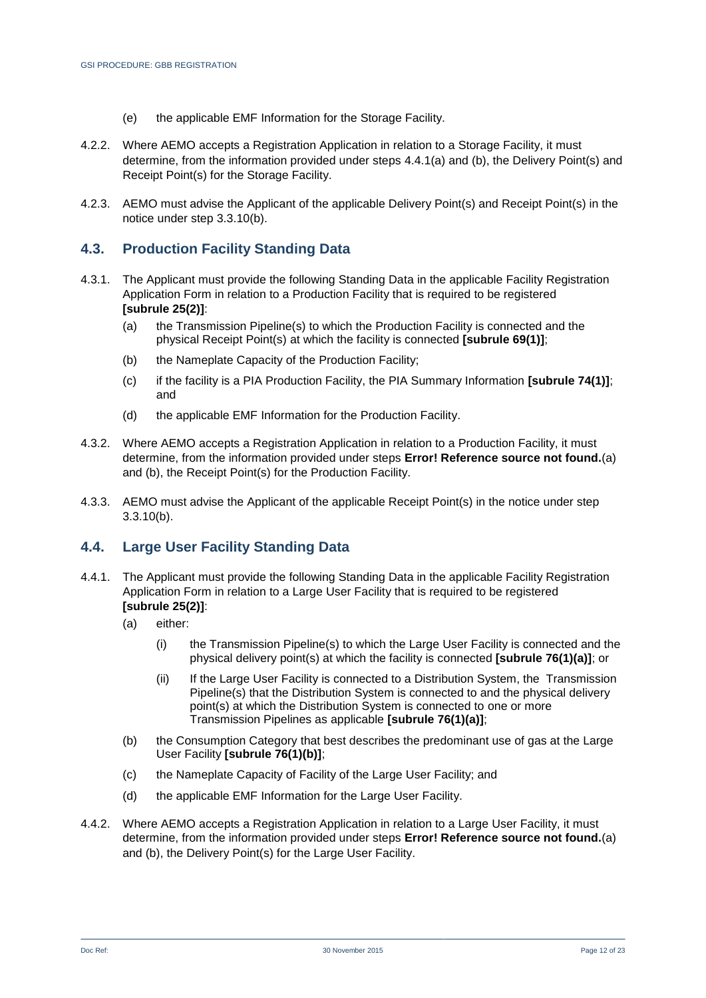- (e) the applicable EMF Information for the Storage Facility.
- 4.2.2. Where AEMO accepts a Registration Application in relation to a Storage Facility, it must determine, from the information provided under steps 4.4.[1\(a\)](#page-10-1) and [\(b\),](#page-10-2) the Delivery Point(s) and Receipt Point(s) for the Storage Facility.
- 4.2.3. AEMO must advise the Applicant of the applicable Delivery Point(s) and Receipt Point(s) in the notice under step [3.3.10\(b\).](#page-8-1)

#### **4.3. Production Facility Standing Data**

- 4.3.1. The Applicant must provide the following Standing Data in the applicable Facility Registration Application Form in relation to a Production Facility that is required to be registered **[subrule 25(2)]**:
	- (a) the Transmission Pipeline(s) to which the Production Facility is connected and the physical Receipt Point(s) at which the facility is connected **[subrule 69(1)]**;
	- (b) the Nameplate Capacity of the Production Facility;
	- (c) if the facility is a PIA Production Facility, the PIA Summary Information **[subrule 74(1)]**; and
	- (d) the applicable EMF Information for the Production Facility.
- 4.3.2. Where AEMO accepts a Registration Application in relation to a Production Facility, it must determine, from the information provided under steps **Error! Reference source not found.**[\(a\)](#page-10-1) and [\(b\),](#page-10-2) the Receipt Point(s) for the Production Facility.
- 4.3.3. AEMO must advise the Applicant of the applicable Receipt Point(s) in the notice under step [3.3.10\(b\).](#page-8-1)

#### **4.4. Large User Facility Standing Data**

- 4.4.1. The Applicant must provide the following Standing Data in the applicable Facility Registration Application Form in relation to a Large User Facility that is required to be registered **[subrule 25(2)]**:
	- (a) either:
		- (i) the Transmission Pipeline(s) to which the Large User Facility is connected and the physical delivery point(s) at which the facility is connected **[subrule 76(1)(a)]**; or
		- (ii) If the Large User Facility is connected to a Distribution System, the Transmission Pipeline(s) that the Distribution System is connected to and the physical delivery point(s) at which the Distribution System is connected to one or more Transmission Pipelines as applicable **[subrule 76(1)(a)]**;
	- (b) the Consumption Category that best describes the predominant use of gas at the Large User Facility **[subrule 76(1)(b)]**;
	- (c) the Nameplate Capacity of Facility of the Large User Facility; and
	- (d) the applicable EMF Information for the Large User Facility.
- 4.4.2. Where AEMO accepts a Registration Application in relation to a Large User Facility, it must determine, from the information provided under steps **Error! Reference source not found.**[\(a\)](#page-10-1) and [\(b\),](#page-10-2) the Delivery Point(s) for the Large User Facility.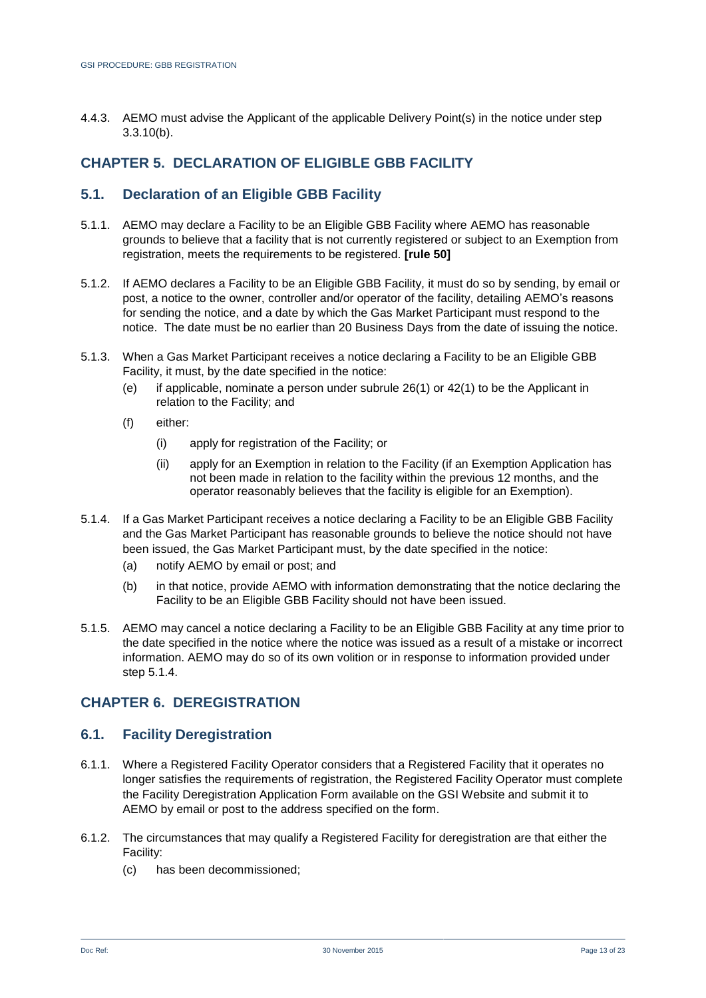4.4.3. AEMO must advise the Applicant of the applicable Delivery Point(s) in the notice under step [3.3.10\(b\).](#page-8-1)

## <span id="page-12-0"></span>**CHAPTER 5. DECLARATION OF ELIGIBLE GBB FACILITY**

## **5.1. Declaration of an Eligible GBB Facility**

- 5.1.1. AEMO may declare a Facility to be an Eligible GBB Facility where AEMO has reasonable grounds to believe that a facility that is not currently registered or subject to an Exemption from registration, meets the requirements to be registered. **[rule 50]**
- 5.1.2. If AEMO declares a Facility to be an Eligible GBB Facility, it must do so by sending, by email or post, a notice to the owner, controller and/or operator of the facility, detailing AEMO's reasons for sending the notice, and a date by which the Gas Market Participant must respond to the notice. The date must be no earlier than 20 Business Days from the date of issuing the notice.
- 5.1.3. When a Gas Market Participant receives a notice declaring a Facility to be an Eligible GBB Facility, it must, by the date specified in the notice:
	- (e) if applicable, nominate a person under subrule  $26(1)$  or  $42(1)$  to be the Applicant in relation to the Facility; and
	- (f) either:
		- (i) apply for registration of the Facility; or
		- (ii) apply for an Exemption in relation to the Facility (if an Exemption Application has not been made in relation to the facility within the previous 12 months, and the operator reasonably believes that the facility is eligible for an Exemption).
- <span id="page-12-2"></span>5.1.4. If a Gas Market Participant receives a notice declaring a Facility to be an Eligible GBB Facility and the Gas Market Participant has reasonable grounds to believe the notice should not have been issued, the Gas Market Participant must, by the date specified in the notice:
	- (a) notify AEMO by email or post; and
	- (b) in that notice, provide AEMO with information demonstrating that the notice declaring the Facility to be an Eligible GBB Facility should not have been issued.
- 5.1.5. AEMO may cancel a notice declaring a Facility to be an Eligible GBB Facility at any time prior to the date specified in the notice where the notice was issued as a result of a mistake or incorrect information. AEMO may do so of its own volition or in response to information provided under step [5.1.4.](#page-12-2)

#### <span id="page-12-1"></span>**CHAPTER 6. DEREGISTRATION**

#### **6.1. Facility Deregistration**

- 6.1.1. Where a Registered Facility Operator considers that a Registered Facility that it operates no longer satisfies the requirements of registration, the Registered Facility Operator must complete the Facility Deregistration Application Form available on the GSI Website and submit it to AEMO by email or post to the address specified on the form.
- 6.1.2. The circumstances that may qualify a Registered Facility for deregistration are that either the Facility:
	- (c) has been decommissioned;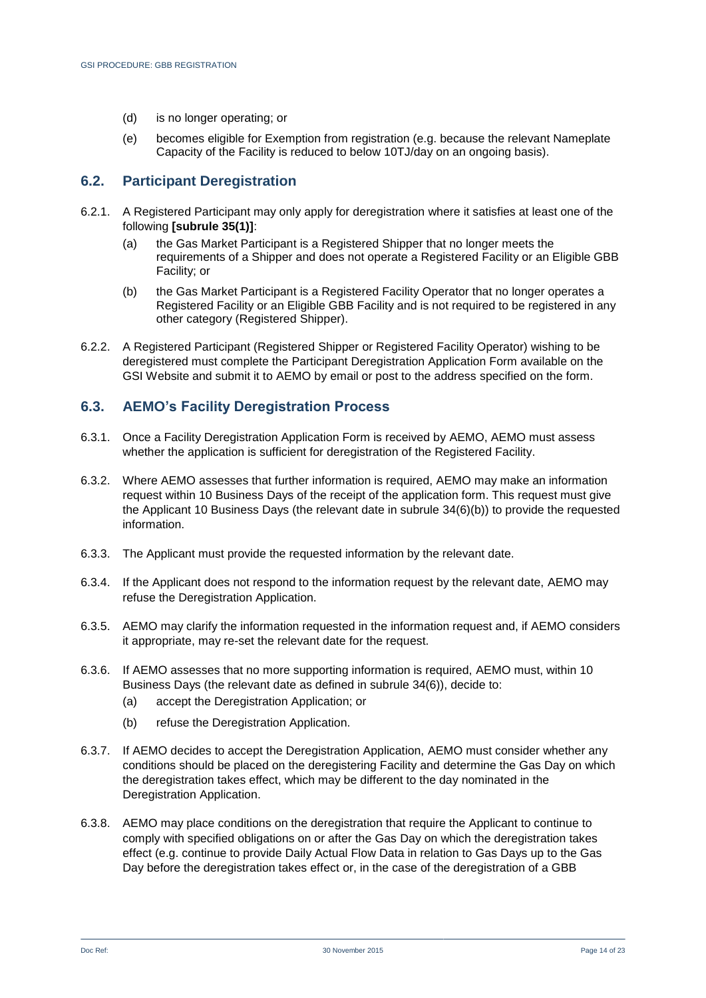- (d) is no longer operating; or
- (e) becomes eligible for Exemption from registration (e.g. because the relevant Nameplate Capacity of the Facility is reduced to below 10TJ/day on an ongoing basis).

#### **6.2. Participant Deregistration**

- 6.2.1. A Registered Participant may only apply for deregistration where it satisfies at least one of the following **[subrule 35(1)]**:
	- (a) the Gas Market Participant is a Registered Shipper that no longer meets the requirements of a Shipper and does not operate a Registered Facility or an Eligible GBB Facility; or
	- (b) the Gas Market Participant is a Registered Facility Operator that no longer operates a Registered Facility or an Eligible GBB Facility and is not required to be registered in any other category (Registered Shipper).
- 6.2.2. A Registered Participant (Registered Shipper or Registered Facility Operator) wishing to be deregistered must complete the Participant Deregistration Application Form available on the GSI Website and submit it to AEMO by email or post to the address specified on the form.

#### <span id="page-13-1"></span>**6.3. AEMO's Facility Deregistration Process**

- 6.3.1. Once a Facility Deregistration Application Form is received by AEMO, AEMO must assess whether the application is sufficient for deregistration of the Registered Facility.
- <span id="page-13-0"></span>6.3.2. Where AEMO assesses that further information is required, AEMO may make an information request within 10 Business Days of the receipt of the application form. This request must give the Applicant 10 Business Days (the relevant date in subrule 34(6)(b)) to provide the requested information.
- 6.3.3. The Applicant must provide the requested information by the relevant date.
- 6.3.4. If the Applicant does not respond to the information request by the relevant date, AEMO may refuse the Deregistration Application.
- 6.3.5. AEMO may clarify the information requested in the information request and, if AEMO considers it appropriate, may re-set the relevant date for the request.
- 6.3.6. If AEMO assesses that no more supporting information is required, AEMO must, within 10 Business Days (the relevant date as defined in subrule 34(6)), decide to:
	- (a) accept the Deregistration Application; or
	- (b) refuse the Deregistration Application.
- 6.3.7. If AEMO decides to accept the Deregistration Application, AEMO must consider whether any conditions should be placed on the deregistering Facility and determine the Gas Day on which the deregistration takes effect, which may be different to the day nominated in the Deregistration Application.
- 6.3.8. AEMO may place conditions on the deregistration that require the Applicant to continue to comply with specified obligations on or after the Gas Day on which the deregistration takes effect (e.g. continue to provide Daily Actual Flow Data in relation to Gas Days up to the Gas Day before the deregistration takes effect or, in the case of the deregistration of a GBB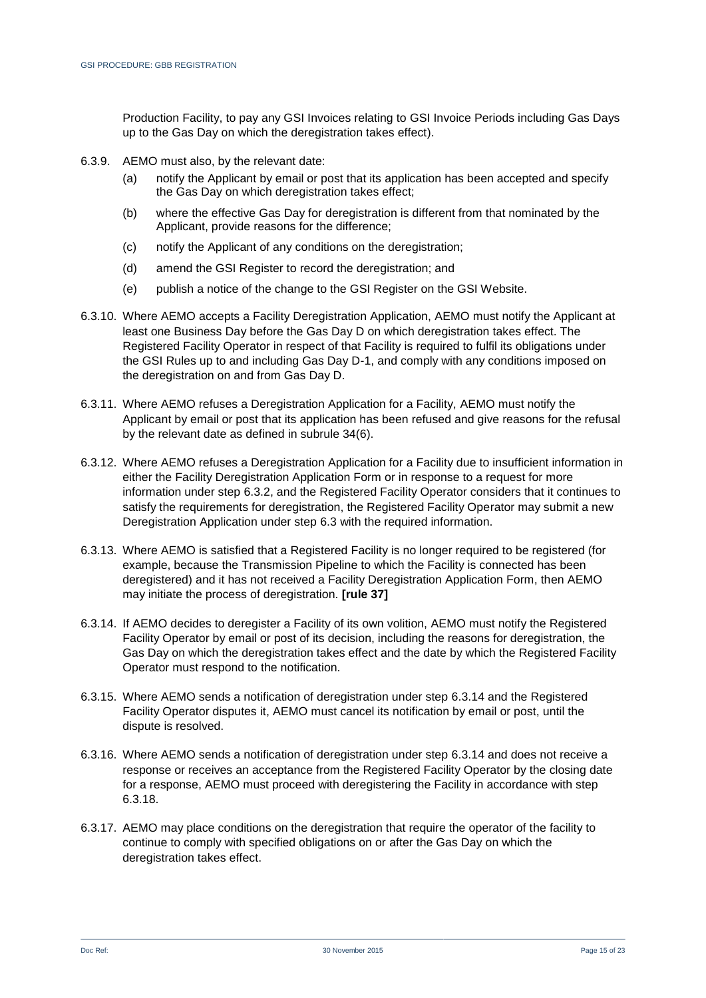Production Facility, to pay any GSI Invoices relating to GSI Invoice Periods including Gas Days up to the Gas Day on which the deregistration takes effect).

- 6.3.9. AEMO must also, by the relevant date:
	- (a) notify the Applicant by email or post that its application has been accepted and specify the Gas Day on which deregistration takes effect;
	- (b) where the effective Gas Day for deregistration is different from that nominated by the Applicant, provide reasons for the difference;
	- (c) notify the Applicant of any conditions on the deregistration;
	- (d) amend the GSI Register to record the deregistration; and
	- (e) publish a notice of the change to the GSI Register on the GSI Website.
- 6.3.10. Where AEMO accepts a Facility Deregistration Application, AEMO must notify the Applicant at least one Business Day before the Gas Day D on which deregistration takes effect. The Registered Facility Operator in respect of that Facility is required to fulfil its obligations under the GSI Rules up to and including Gas Day D-1, and comply with any conditions imposed on the deregistration on and from Gas Day D.
- 6.3.11. Where AEMO refuses a Deregistration Application for a Facility, AEMO must notify the Applicant by email or post that its application has been refused and give reasons for the refusal by the relevant date as defined in subrule 34(6).
- 6.3.12. Where AEMO refuses a Deregistration Application for a Facility due to insufficient information in either the Facility Deregistration Application Form or in response to a request for more information under step [6.3.2,](#page-13-0) and the Registered Facility Operator considers that it continues to satisfy the requirements for deregistration, the Registered Facility Operator may submit a new Deregistration Application under step [6.3](#page-13-1) with the required information.
- 6.3.13. Where AEMO is satisfied that a Registered Facility is no longer required to be registered (for example, because the Transmission Pipeline to which the Facility is connected has been deregistered) and it has not received a Facility Deregistration Application Form, then AEMO may initiate the process of deregistration. **[rule 37]**
- <span id="page-14-0"></span>6.3.14. If AEMO decides to deregister a Facility of its own volition, AEMO must notify the Registered Facility Operator by email or post of its decision, including the reasons for deregistration, the Gas Day on which the deregistration takes effect and the date by which the Registered Facility Operator must respond to the notification.
- 6.3.15. Where AEMO sends a notification of deregistration under step [6.3.14](#page-14-0) and the Registered Facility Operator disputes it, AEMO must cancel its notification by email or post, until the dispute is resolved.
- 6.3.16. Where AEMO sends a notification of deregistration under step [6.3.14](#page-14-0) and does not receive a response or receives an acceptance from the Registered Facility Operator by the closing date for a response, AEMO must proceed with deregistering the Facility in accordance with step [6.3.18.](#page-15-0)
- 6.3.17. AEMO may place conditions on the deregistration that require the operator of the facility to continue to comply with specified obligations on or after the Gas Day on which the deregistration takes effect.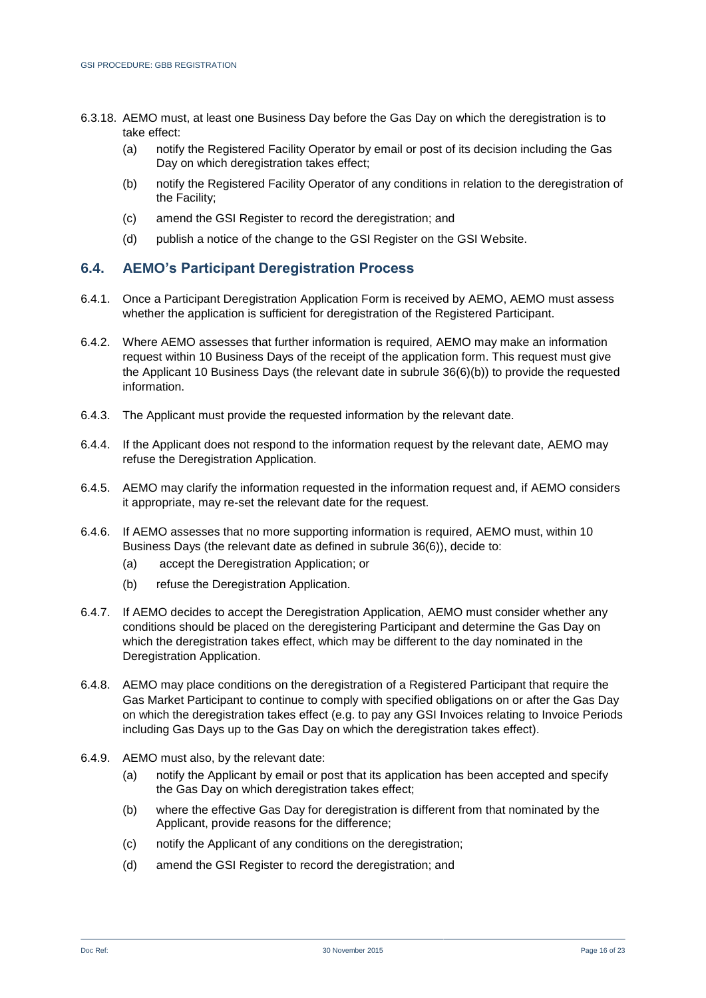- <span id="page-15-0"></span>6.3.18. AEMO must, at least one Business Day before the Gas Day on which the deregistration is to take effect:
	- (a) notify the Registered Facility Operator by email or post of its decision including the Gas Day on which deregistration takes effect:
	- (b) notify the Registered Facility Operator of any conditions in relation to the deregistration of the Facility;
	- (c) amend the GSI Register to record the deregistration; and
	- (d) publish a notice of the change to the GSI Register on the GSI Website.

#### <span id="page-15-2"></span>**6.4. AEMO's Participant Deregistration Process**

- 6.4.1. Once a Participant Deregistration Application Form is received by AEMO, AEMO must assess whether the application is sufficient for deregistration of the Registered Participant.
- <span id="page-15-1"></span>6.4.2. Where AEMO assesses that further information is required, AEMO may make an information request within 10 Business Days of the receipt of the application form. This request must give the Applicant 10 Business Days (the relevant date in subrule 36(6)(b)) to provide the requested information.
- 6.4.3. The Applicant must provide the requested information by the relevant date.
- 6.4.4. If the Applicant does not respond to the information request by the relevant date, AEMO may refuse the Deregistration Application.
- 6.4.5. AEMO may clarify the information requested in the information request and, if AEMO considers it appropriate, may re-set the relevant date for the request.
- 6.4.6. If AEMO assesses that no more supporting information is required, AEMO must, within 10 Business Days (the relevant date as defined in subrule 36(6)), decide to:
	- (a) accept the Deregistration Application; or
	- (b) refuse the Deregistration Application.
- 6.4.7. If AEMO decides to accept the Deregistration Application, AEMO must consider whether any conditions should be placed on the deregistering Participant and determine the Gas Day on which the deregistration takes effect, which may be different to the day nominated in the Deregistration Application.
- 6.4.8. AEMO may place conditions on the deregistration of a Registered Participant that require the Gas Market Participant to continue to comply with specified obligations on or after the Gas Day on which the deregistration takes effect (e.g. to pay any GSI Invoices relating to Invoice Periods including Gas Days up to the Gas Day on which the deregistration takes effect).
- 6.4.9. AEMO must also, by the relevant date:
	- (a) notify the Applicant by email or post that its application has been accepted and specify the Gas Day on which deregistration takes effect;
	- (b) where the effective Gas Day for deregistration is different from that nominated by the Applicant, provide reasons for the difference;
	- (c) notify the Applicant of any conditions on the deregistration;
	- (d) amend the GSI Register to record the deregistration; and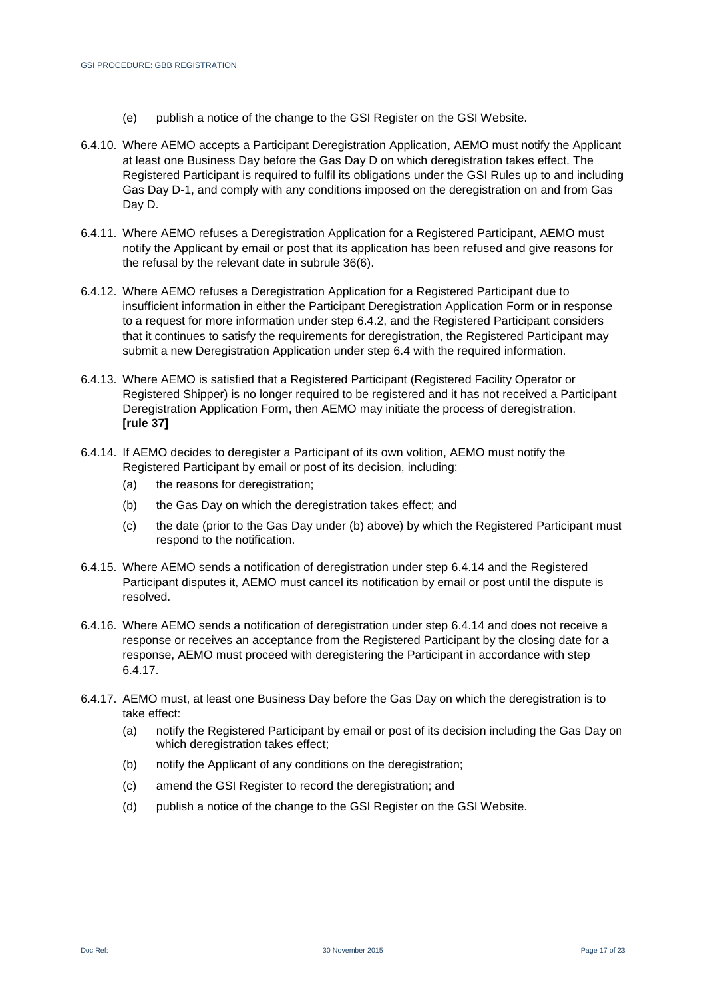- (e) publish a notice of the change to the GSI Register on the GSI Website.
- 6.4.10. Where AEMO accepts a Participant Deregistration Application, AEMO must notify the Applicant at least one Business Day before the Gas Day D on which deregistration takes effect. The Registered Participant is required to fulfil its obligations under the GSI Rules up to and including Gas Day D-1, and comply with any conditions imposed on the deregistration on and from Gas Day D.
- 6.4.11. Where AEMO refuses a Deregistration Application for a Registered Participant, AEMO must notify the Applicant by email or post that its application has been refused and give reasons for the refusal by the relevant date in subrule 36(6).
- 6.4.12. Where AEMO refuses a Deregistration Application for a Registered Participant due to insufficient information in either the Participant Deregistration Application Form or in response to a request for more information under step [6.4.2,](#page-15-1) and the Registered Participant considers that it continues to satisfy the requirements for deregistration, the Registered Participant may submit a new Deregistration Application under step [6.4](#page-15-2) with the required information.
- 6.4.13. Where AEMO is satisfied that a Registered Participant (Registered Facility Operator or Registered Shipper) is no longer required to be registered and it has not received a Participant Deregistration Application Form, then AEMO may initiate the process of deregistration. **[rule 37]**
- <span id="page-16-1"></span><span id="page-16-0"></span>6.4.14. If AEMO decides to deregister a Participant of its own volition, AEMO must notify the Registered Participant by email or post of its decision, including:
	- (a) the reasons for deregistration;
	- (b) the Gas Day on which the deregistration takes effect; and
	- (c) the date (prior to the Gas Day under [\(b\)](#page-16-0) above) by which the Registered Participant must respond to the notification.
- 6.4.15. Where AEMO sends a notification of deregistration under step [6.4.14](#page-16-1) and the Registered Participant disputes it, AEMO must cancel its notification by email or post until the dispute is resolved.
- 6.4.16. Where AEMO sends a notification of deregistration under step [6.4.14](#page-16-1) and does not receive a response or receives an acceptance from the Registered Participant by the closing date for a response, AEMO must proceed with deregistering the Participant in accordance with step [6.4.17.](#page-16-2)
- <span id="page-16-2"></span>6.4.17. AEMO must, at least one Business Day before the Gas Day on which the deregistration is to take effect:
	- (a) notify the Registered Participant by email or post of its decision including the Gas Day on which deregistration takes effect;
	- (b) notify the Applicant of any conditions on the deregistration;
	- (c) amend the GSI Register to record the deregistration; and
	- (d) publish a notice of the change to the GSI Register on the GSI Website.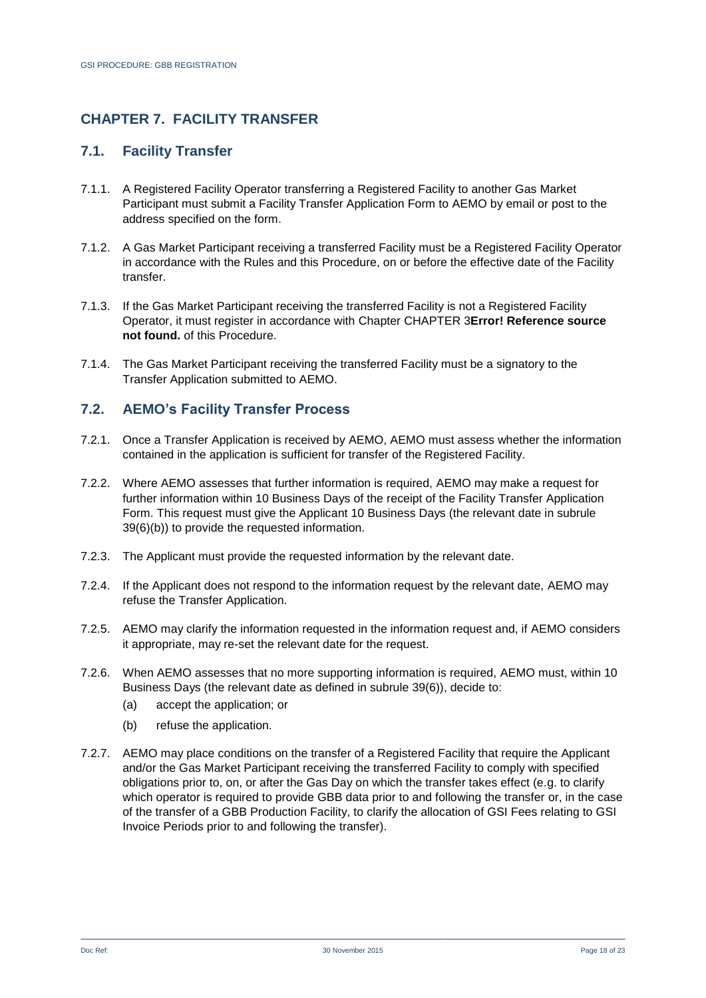## <span id="page-17-0"></span>**CHAPTER 7. FACILITY TRANSFER**

#### **7.1. Facility Transfer**

- 7.1.1. A Registered Facility Operator transferring a Registered Facility to another Gas Market Participant must submit a Facility Transfer Application Form to AEMO by email or post to the address specified on the form.
- 7.1.2. A Gas Market Participant receiving a transferred Facility must be a Registered Facility Operator in accordance with the Rules and this Procedure, on or before the effective date of the Facility transfer.
- 7.1.3. If the Gas Market Participant receiving the transferred Facility is not a Registered Facility Operator, it must register in accordance with Chapter [CHAPTER 3](#page-7-0)**[Error! Reference source](#page-7-0)  not found.** of this Procedure.
- 7.1.4. The Gas Market Participant receiving the transferred Facility must be a signatory to the Transfer Application submitted to AEMO.

## <span id="page-17-2"></span>**7.2. AEMO's Facility Transfer Process**

- 7.2.1. Once a Transfer Application is received by AEMO, AEMO must assess whether the information contained in the application is sufficient for transfer of the Registered Facility.
- <span id="page-17-1"></span>7.2.2. Where AEMO assesses that further information is required, AEMO may make a request for further information within 10 Business Days of the receipt of the Facility Transfer Application Form. This request must give the Applicant 10 Business Days (the relevant date in subrule 39(6)(b)) to provide the requested information.
- 7.2.3. The Applicant must provide the requested information by the relevant date.
- 7.2.4. If the Applicant does not respond to the information request by the relevant date, AEMO may refuse the Transfer Application.
- 7.2.5. AEMO may clarify the information requested in the information request and, if AEMO considers it appropriate, may re-set the relevant date for the request.
- 7.2.6. When AEMO assesses that no more supporting information is required, AEMO must, within 10 Business Days (the relevant date as defined in subrule 39(6)), decide to:
	- (a) accept the application; or
	- (b) refuse the application.
- 7.2.7. AEMO may place conditions on the transfer of a Registered Facility that require the Applicant and/or the Gas Market Participant receiving the transferred Facility to comply with specified obligations prior to, on, or after the Gas Day on which the transfer takes effect (e.g. to clarify which operator is required to provide GBB data prior to and following the transfer or, in the case of the transfer of a GBB Production Facility, to clarify the allocation of GSI Fees relating to GSI Invoice Periods prior to and following the transfer).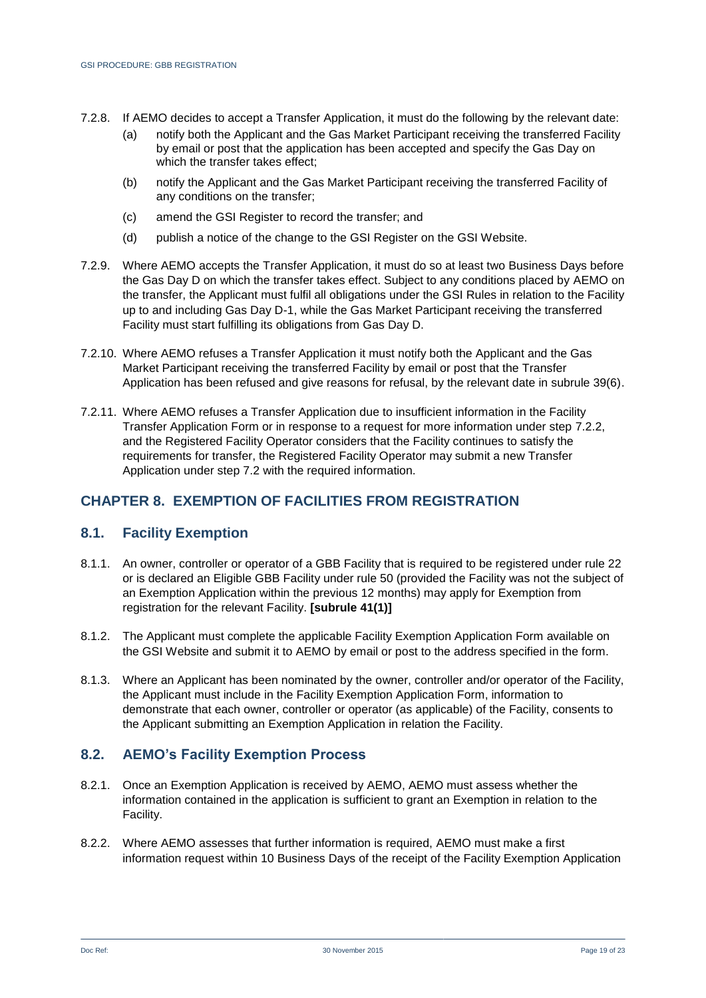- 7.2.8. If AEMO decides to accept a Transfer Application, it must do the following by the relevant date:
	- (a) notify both the Applicant and the Gas Market Participant receiving the transferred Facility by email or post that the application has been accepted and specify the Gas Day on which the transfer takes effect;
	- (b) notify the Applicant and the Gas Market Participant receiving the transferred Facility of any conditions on the transfer;
	- (c) amend the GSI Register to record the transfer; and
	- (d) publish a notice of the change to the GSI Register on the GSI Website.
- 7.2.9. Where AEMO accepts the Transfer Application, it must do so at least two Business Days before the Gas Day D on which the transfer takes effect. Subject to any conditions placed by AEMO on the transfer, the Applicant must fulfil all obligations under the GSI Rules in relation to the Facility up to and including Gas Day D-1, while the Gas Market Participant receiving the transferred Facility must start fulfilling its obligations from Gas Day D.
- 7.2.10. Where AEMO refuses a Transfer Application it must notify both the Applicant and the Gas Market Participant receiving the transferred Facility by email or post that the Transfer Application has been refused and give reasons for refusal, by the relevant date in subrule 39(6).
- 7.2.11. Where AEMO refuses a Transfer Application due to insufficient information in the Facility Transfer Application Form or in response to a request for more information under step [7.2.2,](#page-17-1) and the Registered Facility Operator considers that the Facility continues to satisfy the requirements for transfer, the Registered Facility Operator may submit a new Transfer Application under step [7.2](#page-17-2) with the required information.

## <span id="page-18-0"></span>**CHAPTER 8. EXEMPTION OF FACILITIES FROM REGISTRATION**

#### **8.1. Facility Exemption**

- 8.1.1. An owner, controller or operator of a GBB Facility that is required to be registered under rule 22 or is declared an Eligible GBB Facility under rule 50 (provided the Facility was not the subject of an Exemption Application within the previous 12 months) may apply for Exemption from registration for the relevant Facility. **[subrule 41(1)]**
- 8.1.2. The Applicant must complete the applicable Facility Exemption Application Form available on the GSI Website and submit it to AEMO by email or post to the address specified in the form.
- 8.1.3. Where an Applicant has been nominated by the owner, controller and/or operator of the Facility, the Applicant must include in the Facility Exemption Application Form, information to demonstrate that each owner, controller or operator (as applicable) of the Facility, consents to the Applicant submitting an Exemption Application in relation the Facility.

## **8.2. AEMO's Facility Exemption Process**

- 8.2.1. Once an Exemption Application is received by AEMO, AEMO must assess whether the information contained in the application is sufficient to grant an Exemption in relation to the Facility.
- 8.2.2. Where AEMO assesses that further information is required, AEMO must make a first information request within 10 Business Days of the receipt of the Facility Exemption Application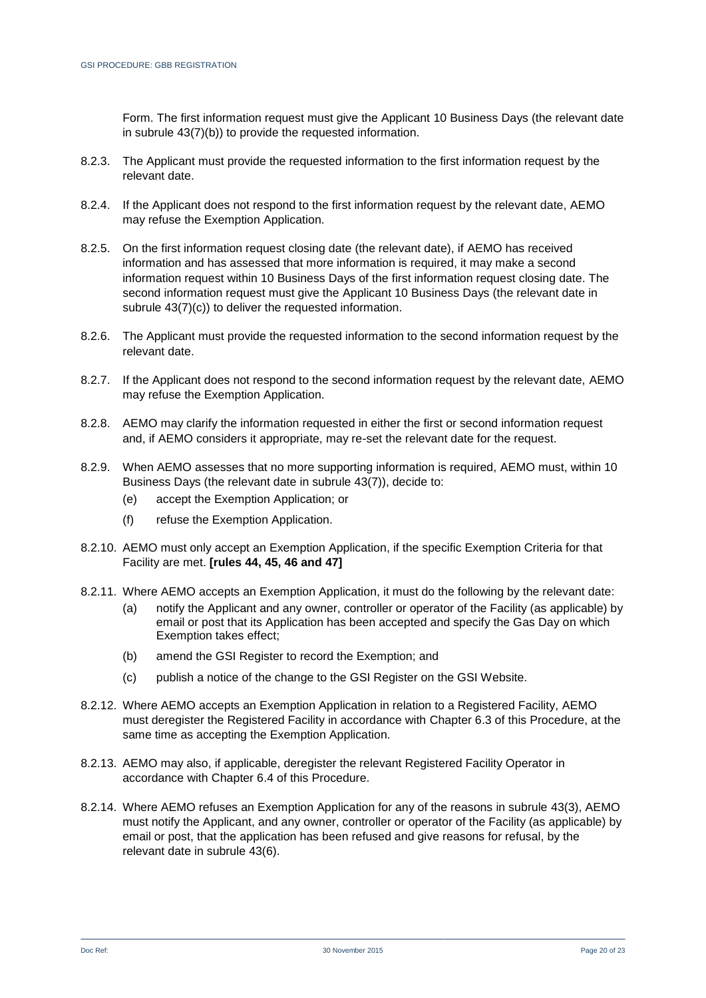Form. The first information request must give the Applicant 10 Business Days (the relevant date in subrule 43(7)(b)) to provide the requested information.

- 8.2.3. The Applicant must provide the requested information to the first information request by the relevant date.
- 8.2.4. If the Applicant does not respond to the first information request by the relevant date, AEMO may refuse the Exemption Application.
- 8.2.5. On the first information request closing date (the relevant date), if AEMO has received information and has assessed that more information is required, it may make a second information request within 10 Business Days of the first information request closing date. The second information request must give the Applicant 10 Business Days (the relevant date in subrule 43(7)(c)) to deliver the requested information.
- 8.2.6. The Applicant must provide the requested information to the second information request by the relevant date.
- 8.2.7. If the Applicant does not respond to the second information request by the relevant date, AEMO may refuse the Exemption Application.
- 8.2.8. AEMO may clarify the information requested in either the first or second information request and, if AEMO considers it appropriate, may re-set the relevant date for the request.
- 8.2.9. When AEMO assesses that no more supporting information is required, AEMO must, within 10 Business Days (the relevant date in subrule 43(7)), decide to:
	- (e) accept the Exemption Application; or
	- (f) refuse the Exemption Application.
- 8.2.10. AEMO must only accept an Exemption Application, if the specific Exemption Criteria for that Facility are met. **[rules 44, 45, 46 and 47]**
- 8.2.11. Where AEMO accepts an Exemption Application, it must do the following by the relevant date:
	- (a) notify the Applicant and any owner, controller or operator of the Facility (as applicable) by email or post that its Application has been accepted and specify the Gas Day on which Exemption takes effect;
	- (b) amend the GSI Register to record the Exemption; and
	- (c) publish a notice of the change to the GSI Register on the GSI Website.
- 8.2.12. Where AEMO accepts an Exemption Application in relation to a Registered Facility, AEMO must deregister the Registered Facility in accordance with Chapter [6.3](#page-13-1) of this Procedure, at the same time as accepting the Exemption Application.
- 8.2.13. AEMO may also, if applicable, deregister the relevant Registered Facility Operator in accordance with Chapter [6.4](#page-15-2) of this Procedure.
- 8.2.14. Where AEMO refuses an Exemption Application for any of the reasons in subrule 43(3), AEMO must notify the Applicant, and any owner, controller or operator of the Facility (as applicable) by email or post, that the application has been refused and give reasons for refusal, by the relevant date in subrule 43(6).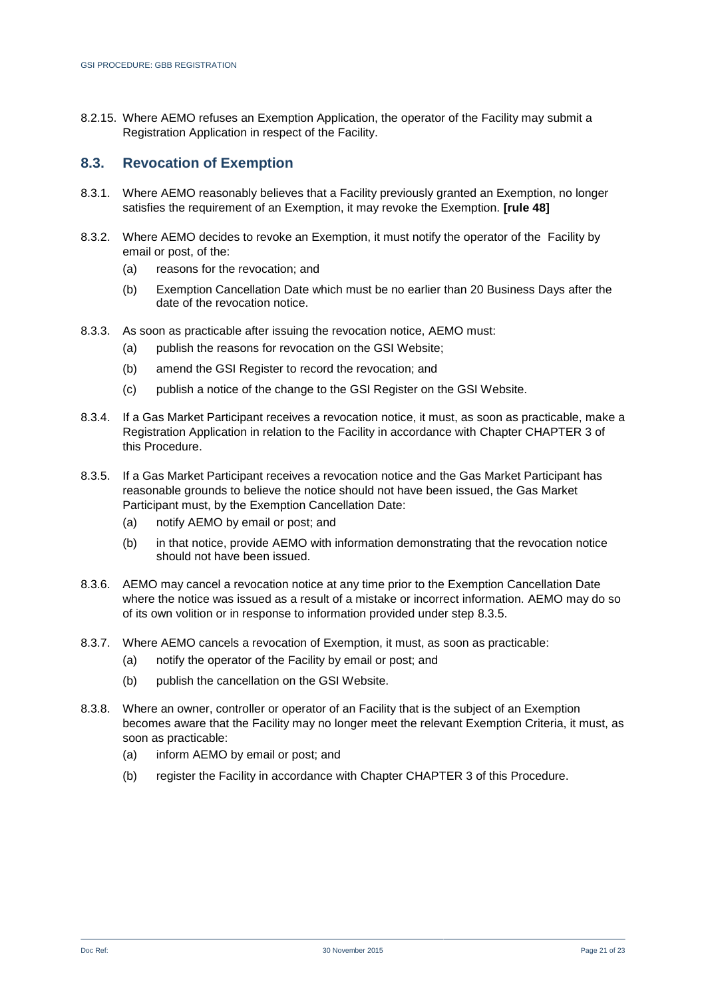8.2.15. Where AEMO refuses an Exemption Application, the operator of the Facility may submit a Registration Application in respect of the Facility.

#### **8.3. Revocation of Exemption**

- 8.3.1. Where AEMO reasonably believes that a Facility previously granted an Exemption, no longer satisfies the requirement of an Exemption, it may revoke the Exemption. **[rule 48]**
- 8.3.2. Where AEMO decides to revoke an Exemption, it must notify the operator of the Facility by email or post, of the:
	- (a) reasons for the revocation; and
	- (b) Exemption Cancellation Date which must be no earlier than 20 Business Days after the date of the revocation notice.
- 8.3.3. As soon as practicable after issuing the revocation notice, AEMO must:
	- (a) publish the reasons for revocation on the GSI Website;
	- (b) amend the GSI Register to record the revocation; and
	- (c) publish a notice of the change to the GSI Register on the GSI Website.
- 8.3.4. If a Gas Market Participant receives a revocation notice, it must, as soon as practicable, make a Registration Application in relation to the Facility in accordance with Chapter [CHAPTER 3](#page-7-0) of this Procedure.
- <span id="page-20-0"></span>8.3.5. If a Gas Market Participant receives a revocation notice and the Gas Market Participant has reasonable grounds to believe the notice should not have been issued, the Gas Market Participant must, by the Exemption Cancellation Date:
	- (a) notify AEMO by email or post; and
	- (b) in that notice, provide AEMO with information demonstrating that the revocation notice should not have been issued.
- 8.3.6. AEMO may cancel a revocation notice at any time prior to the Exemption Cancellation Date where the notice was issued as a result of a mistake or incorrect information. AEMO may do so of its own volition or in response to information provided under step [8.3.5.](#page-20-0)
- 8.3.7. Where AEMO cancels a revocation of Exemption, it must, as soon as practicable:
	- (a) notify the operator of the Facility by email or post; and
	- (b) publish the cancellation on the GSI Website.
- 8.3.8. Where an owner, controller or operator of an Facility that is the subject of an Exemption becomes aware that the Facility may no longer meet the relevant Exemption Criteria, it must, as soon as practicable:
	- (a) inform AEMO by email or post; and
	- (b) register the Facility in accordance with Chapter [CHAPTER 3](#page-7-0) of this Procedure.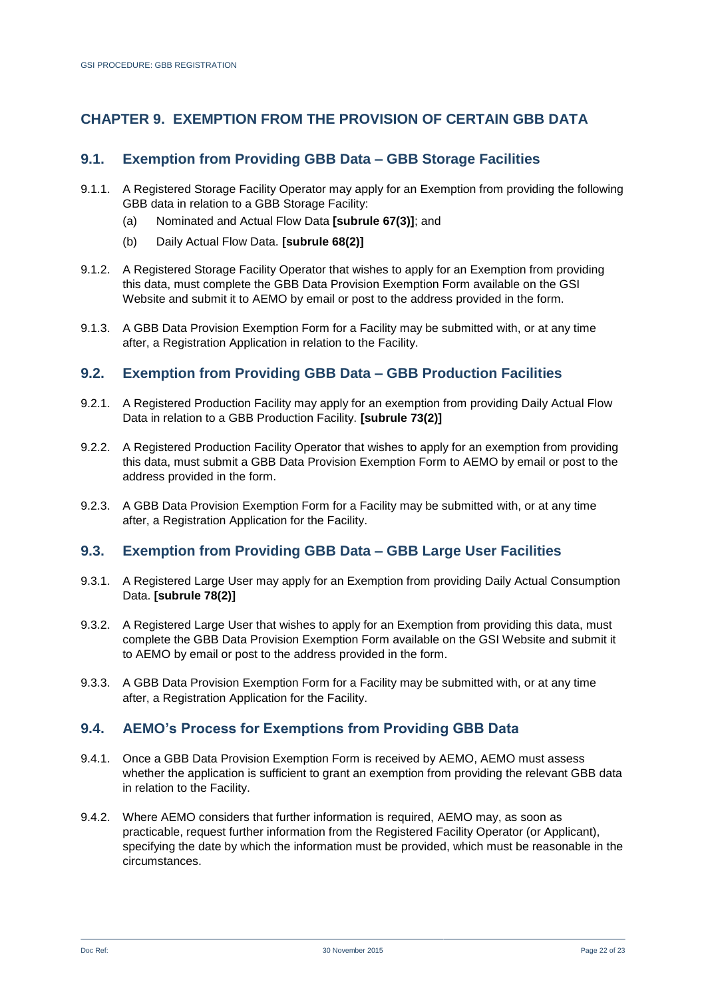# <span id="page-21-0"></span>**CHAPTER 9. EXEMPTION FROM THE PROVISION OF CERTAIN GBB DATA**

## **9.1. Exemption from Providing GBB Data – GBB Storage Facilities**

- 9.1.1. A Registered Storage Facility Operator may apply for an Exemption from providing the following GBB data in relation to a GBB Storage Facility:
	- (a) Nominated and Actual Flow Data **[subrule 67(3)]**; and
	- (b) Daily Actual Flow Data. **[subrule 68(2)]**
- 9.1.2. A Registered Storage Facility Operator that wishes to apply for an Exemption from providing this data, must complete the GBB Data Provision Exemption Form available on the GSI Website and submit it to AEMO by email or post to the address provided in the form.
- 9.1.3. A GBB Data Provision Exemption Form for a Facility may be submitted with, or at any time after, a Registration Application in relation to the Facility.

#### **9.2. Exemption from Providing GBB Data – GBB Production Facilities**

- 9.2.1. A Registered Production Facility may apply for an exemption from providing Daily Actual Flow Data in relation to a GBB Production Facility. **[subrule 73(2)]**
- 9.2.2. A Registered Production Facility Operator that wishes to apply for an exemption from providing this data, must submit a GBB Data Provision Exemption Form to AEMO by email or post to the address provided in the form.
- 9.2.3. A GBB Data Provision Exemption Form for a Facility may be submitted with, or at any time after, a Registration Application for the Facility.

#### **9.3. Exemption from Providing GBB Data – GBB Large User Facilities**

- 9.3.1. A Registered Large User may apply for an Exemption from providing Daily Actual Consumption Data. **[subrule 78(2)]**
- 9.3.2. A Registered Large User that wishes to apply for an Exemption from providing this data, must complete the GBB Data Provision Exemption Form available on the GSI Website and submit it to AEMO by email or post to the address provided in the form.
- 9.3.3. A GBB Data Provision Exemption Form for a Facility may be submitted with, or at any time after, a Registration Application for the Facility.

#### **9.4. AEMO's Process for Exemptions from Providing GBB Data**

- 9.4.1. Once a GBB Data Provision Exemption Form is received by AEMO, AEMO must assess whether the application is sufficient to grant an exemption from providing the relevant GBB data in relation to the Facility.
- 9.4.2. Where AEMO considers that further information is required, AEMO may, as soon as practicable, request further information from the Registered Facility Operator (or Applicant), specifying the date by which the information must be provided, which must be reasonable in the circumstances.